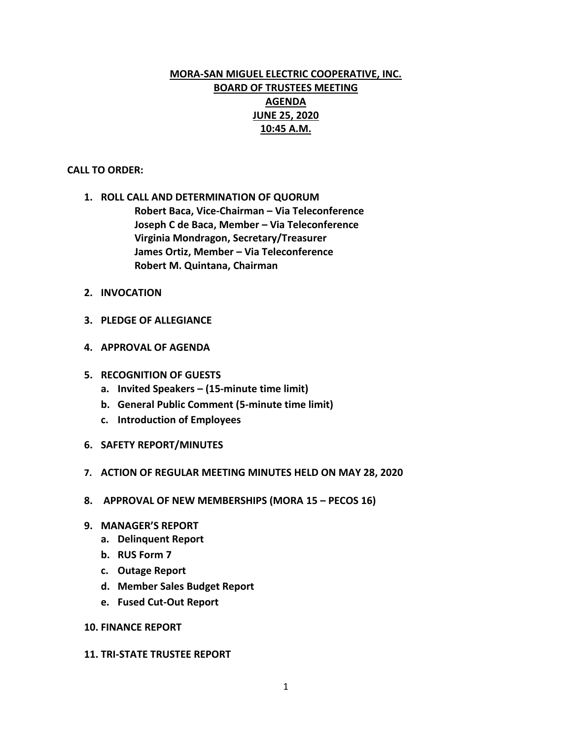# **MORA-SAN MIGUEL ELECTRIC COOPERATIVE, INC. BOARD OF TRUSTEES MEETING AGENDA JUNE 25, 2020 10:45 A.M.**

### **CALL TO ORDER:**

**1. ROLL CALL AND DETERMINATION OF QUORUM Robert Baca, Vice-Chairman – Via Teleconference Joseph C de Baca, Member – Via Teleconference Virginia Mondragon, Secretary/Treasurer James Ortiz, Member – Via Teleconference Robert M. Quintana, Chairman**

- **2. INVOCATION**
- **3. PLEDGE OF ALLEGIANCE**
- **4. APPROVAL OF AGENDA**
- **5. RECOGNITION OF GUESTS**
	- **a. Invited Speakers – (15-minute time limit)**
	- **b. General Public Comment (5-minute time limit)**
	- **c. Introduction of Employees**
- **6. SAFETY REPORT/MINUTES**
- **7. ACTION OF REGULAR MEETING MINUTES HELD ON MAY 28, 2020**
- **8. APPROVAL OF NEW MEMBERSHIPS (MORA 15 – PECOS 16)**
- **9. MANAGER'S REPORT**
	- **a. Delinquent Report**
	- **b. RUS Form 7**
	- **c. Outage Report**
	- **d. Member Sales Budget Report**
	- **e. Fused Cut-Out Report**

#### **10. FINANCE REPORT**

#### **11. TRI-STATE TRUSTEE REPORT**